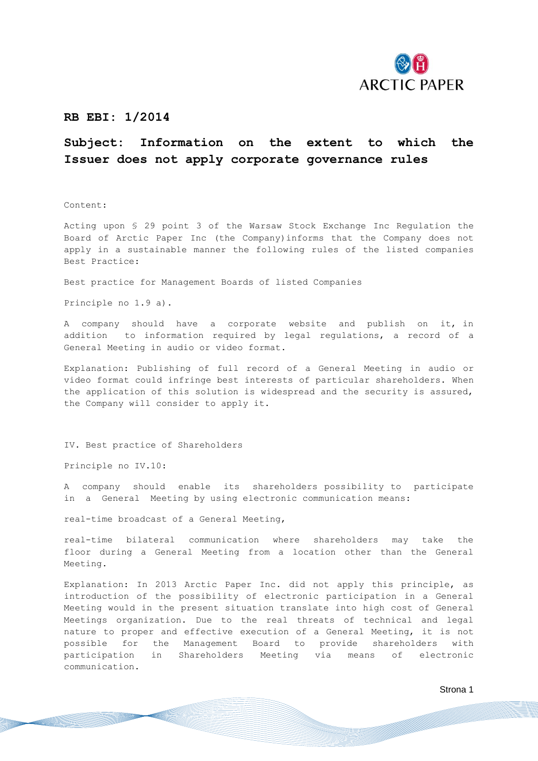

## **RB EBI: 1/2014**

## **Subject: Information on the extent to which the Issuer does not apply corporate governance rules**

Content:

Acting upon § 29 point 3 of the Warsaw Stock Exchange Inc Regulation the Board of Arctic Paper Inc (the Company)informs that the Company does not apply in a sustainable manner the following rules of the listed companies Best Practice:

Best practice for Management Boards of listed Companies

Principle no 1.9 a).

A company should have a corporate website and publish on it, in addition to information required by legal regulations, a record of a General Meeting in audio or video format.

Explanation: Publishing of full record of a General Meeting in audio or video format could infringe best interests of particular shareholders. When the application of this solution is widespread and the security is assured, the Company will consider to apply it.

IV. Best practice of Shareholders

Principle no IV.10:

A company should enable its shareholders possibility to participate in a General Meeting by using electronic communication means:

real-time broadcast of a General Meeting,

real-time bilateral communication where shareholders may take the floor during a General Meeting from a location other than the General Meeting.

Explanation: In 2013 Arctic Paper Inc. did not apply this principle, as introduction of the possibility of electronic participation in a General Meeting would in the present situation translate into high cost of General Meetings organization. Due to the real threats of technical and legal nature to proper and effective execution of a General Meeting, it is not possible for the Management Board to provide shareholders with participation in Shareholders Meeting via means of electronic communication.

Strona 1